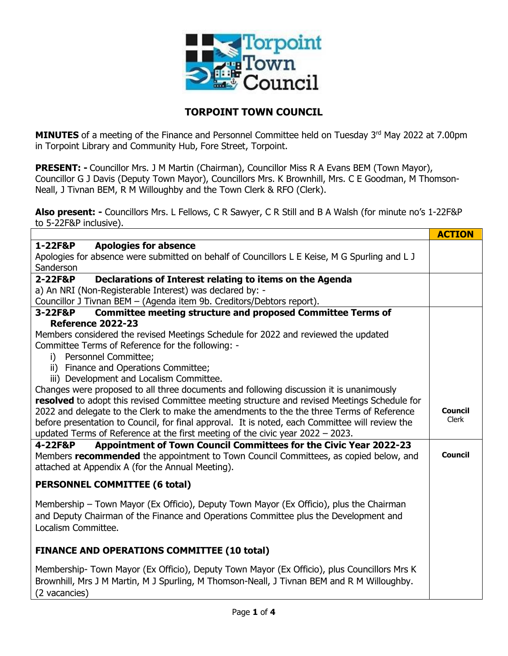

## **TORPOINT TOWN COUNCIL**

**MINUTES** of a meeting of the Finance and Personnel Committee held on Tuesday 3<sup>rd</sup> May 2022 at 7.00pm in Torpoint Library and Community Hub, Fore Street, Torpoint.

**PRESENT: -** Councillor Mrs. J M Martin (Chairman), Councillor Miss R A Evans BEM (Town Mayor), Councillor G J Davis (Deputy Town Mayor), Councillors Mrs. K Brownhill, Mrs. C E Goodman, M Thomson-Neall, J Tivnan BEM, R M Willoughby and the Town Clerk & RFO (Clerk).

**Also present: -** Councillors Mrs. L Fellows, C R Sawyer, C R Still and B A Walsh (for minute no's 1-22F&P to 5-22F&P inclusive).

|                                                                                                                                                                      | <b>ACTION</b> |
|----------------------------------------------------------------------------------------------------------------------------------------------------------------------|---------------|
| 1-22F&P<br><b>Apologies for absence</b>                                                                                                                              |               |
| Apologies for absence were submitted on behalf of Councillors L E Keise, M G Spurling and L J                                                                        |               |
| Sanderson                                                                                                                                                            |               |
| Declarations of Interest relating to items on the Agenda<br>2-22F&P                                                                                                  |               |
| a) An NRI (Non-Registerable Interest) was declared by: -                                                                                                             |               |
| Councillor J Tivnan BEM - (Agenda item 9b. Creditors/Debtors report).                                                                                                |               |
| <b>Committee meeting structure and proposed Committee Terms of</b><br>3-22F&P                                                                                        |               |
| <b>Reference 2022-23</b>                                                                                                                                             |               |
| Members considered the revised Meetings Schedule for 2022 and reviewed the updated                                                                                   |               |
| Committee Terms of Reference for the following: -                                                                                                                    |               |
| i) Personnel Committee;                                                                                                                                              |               |
| ii) Finance and Operations Committee;                                                                                                                                |               |
| iii) Development and Localism Committee.                                                                                                                             |               |
| Changes were proposed to all three documents and following discussion it is unanimously                                                                              |               |
| resolved to adopt this revised Committee meeting structure and revised Meetings Schedule for                                                                         | Council       |
| 2022 and delegate to the Clerk to make the amendments to the the three Terms of Reference                                                                            | Clerk         |
| before presentation to Council, for final approval. It is noted, each Committee will review the                                                                      |               |
| updated Terms of Reference at the first meeting of the civic year 2022 - 2023.                                                                                       |               |
| Appointment of Town Council Committees for the Civic Year 2022-23<br>4-22F&P<br>Members recommended the appointment to Town Council Committees, as copied below, and | Council       |
| attached at Appendix A (for the Annual Meeting).                                                                                                                     |               |
|                                                                                                                                                                      |               |
| <b>PERSONNEL COMMITTEE (6 total)</b>                                                                                                                                 |               |
| Membership – Town Mayor (Ex Officio), Deputy Town Mayor (Ex Officio), plus the Chairman                                                                              |               |
| and Deputy Chairman of the Finance and Operations Committee plus the Development and                                                                                 |               |
| Localism Committee.                                                                                                                                                  |               |
|                                                                                                                                                                      |               |
| <b>FINANCE AND OPERATIONS COMMITTEE (10 total)</b>                                                                                                                   |               |
| Membership- Town Mayor (Ex Officio), Deputy Town Mayor (Ex Officio), plus Councillors Mrs K                                                                          |               |
| Brownhill, Mrs J M Martin, M J Spurling, M Thomson-Neall, J Tivnan BEM and R M Willoughby.                                                                           |               |
| (2 vacancies)                                                                                                                                                        |               |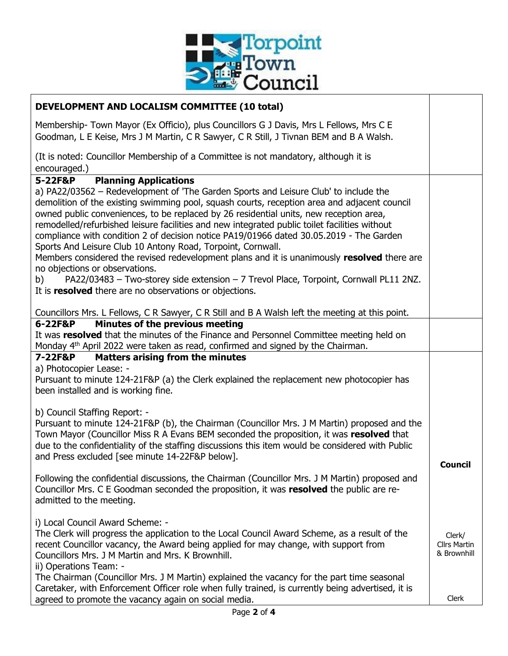

| DEVELOPMENT AND LOCALISM COMMITTEE (10 total)                                                                                                                                                                                                                                                                                                                                                                                                                                                                                                                                                                                            |                                              |
|------------------------------------------------------------------------------------------------------------------------------------------------------------------------------------------------------------------------------------------------------------------------------------------------------------------------------------------------------------------------------------------------------------------------------------------------------------------------------------------------------------------------------------------------------------------------------------------------------------------------------------------|----------------------------------------------|
| Membership- Town Mayor (Ex Officio), plus Councillors G J Davis, Mrs L Fellows, Mrs C E<br>Goodman, L E Keise, Mrs J M Martin, C R Sawyer, C R Still, J Tivnan BEM and B A Walsh.                                                                                                                                                                                                                                                                                                                                                                                                                                                        |                                              |
| (It is noted: Councillor Membership of a Committee is not mandatory, although it is<br>encouraged.)                                                                                                                                                                                                                                                                                                                                                                                                                                                                                                                                      |                                              |
| <b>Planning Applications</b><br>5-22F&P                                                                                                                                                                                                                                                                                                                                                                                                                                                                                                                                                                                                  |                                              |
| a) PA22/03562 - Redevelopment of 'The Garden Sports and Leisure Club' to include the<br>demolition of the existing swimming pool, squash courts, reception area and adjacent council<br>owned public conveniences, to be replaced by 26 residential units, new reception area,<br>remodelled/refurbished leisure facilities and new integrated public toilet facilities without<br>compliance with condition 2 of decision notice PA19/01966 dated 30.05.2019 - The Garden<br>Sports And Leisure Club 10 Antony Road, Torpoint, Cornwall.<br>Members considered the revised redevelopment plans and it is unanimously resolved there are |                                              |
| no objections or observations.                                                                                                                                                                                                                                                                                                                                                                                                                                                                                                                                                                                                           |                                              |
| PA22/03483 - Two-storey side extension - 7 Trevol Place, Torpoint, Cornwall PL11 2NZ.<br>b)<br>It is resolved there are no observations or objections.                                                                                                                                                                                                                                                                                                                                                                                                                                                                                   |                                              |
| Councillors Mrs. L Fellows, C R Sawyer, C R Still and B A Walsh left the meeting at this point.                                                                                                                                                                                                                                                                                                                                                                                                                                                                                                                                          |                                              |
| Minutes of the previous meeting<br>6-22F&P                                                                                                                                                                                                                                                                                                                                                                                                                                                                                                                                                                                               |                                              |
| It was resolved that the minutes of the Finance and Personnel Committee meeting held on<br>Monday 4 <sup>th</sup> April 2022 were taken as read, confirmed and signed by the Chairman.                                                                                                                                                                                                                                                                                                                                                                                                                                                   |                                              |
| <b>Matters arising from the minutes</b><br><b>7-22F&amp;P</b>                                                                                                                                                                                                                                                                                                                                                                                                                                                                                                                                                                            |                                              |
| a) Photocopier Lease: -<br>Pursuant to minute 124-21F&P (a) the Clerk explained the replacement new photocopier has<br>been installed and is working fine.                                                                                                                                                                                                                                                                                                                                                                                                                                                                               |                                              |
|                                                                                                                                                                                                                                                                                                                                                                                                                                                                                                                                                                                                                                          |                                              |
| b) Council Staffing Report: -<br>Pursuant to minute 124-21F&P (b), the Chairman (Councillor Mrs. J M Martin) proposed and the<br>Town Mayor (Councillor Miss R A Evans BEM seconded the proposition, it was resolved that<br>due to the confidentiality of the staffing discussions this item would be considered with Public<br>and Press excluded [see minute 14-22F&P below].                                                                                                                                                                                                                                                         | Council                                      |
| Following the confidential discussions, the Chairman (Councillor Mrs. J M Martin) proposed and<br>Councillor Mrs. C E Goodman seconded the proposition, it was resolved the public are re-<br>admitted to the meeting.                                                                                                                                                                                                                                                                                                                                                                                                                   |                                              |
| i) Local Council Award Scheme: -<br>The Clerk will progress the application to the Local Council Award Scheme, as a result of the<br>recent Councillor vacancy, the Award being applied for may change, with support from<br>Councillors Mrs. J M Martin and Mrs. K Brownhill.<br>ii) Operations Team: -                                                                                                                                                                                                                                                                                                                                 | Clerk/<br><b>Cllrs Martin</b><br>& Brownhill |
| The Chairman (Councillor Mrs. J M Martin) explained the vacancy for the part time seasonal<br>Caretaker, with Enforcement Officer role when fully trained, is currently being advertised, it is<br>agreed to promote the vacancy again on social media.                                                                                                                                                                                                                                                                                                                                                                                  | Clerk                                        |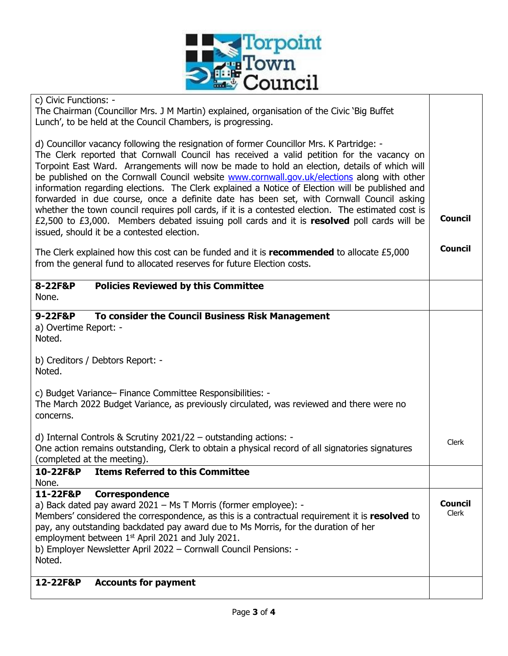

| c) Civic Functions: -<br>The Chairman (Councillor Mrs. J M Martin) explained, organisation of the Civic 'Big Buffet<br>Lunch', to be held at the Council Chambers, is progressing.                                                                                                                                                                                                                                                                                                                                                                                                                                                                                                                                                                                                                                                           |                         |
|----------------------------------------------------------------------------------------------------------------------------------------------------------------------------------------------------------------------------------------------------------------------------------------------------------------------------------------------------------------------------------------------------------------------------------------------------------------------------------------------------------------------------------------------------------------------------------------------------------------------------------------------------------------------------------------------------------------------------------------------------------------------------------------------------------------------------------------------|-------------------------|
| d) Councillor vacancy following the resignation of former Councillor Mrs. K Partridge: -<br>The Clerk reported that Cornwall Council has received a valid petition for the vacancy on<br>Torpoint East Ward. Arrangements will now be made to hold an election, details of which will<br>be published on the Cornwall Council website <b>www.cornwall.gov.uk/elections</b> along with other<br>information regarding elections. The Clerk explained a Notice of Election will be published and<br>forwarded in due course, once a definite date has been set, with Cornwall Council asking<br>whether the town council requires poll cards, if it is a contested election. The estimated cost is<br>£2,500 to £3,000. Members debated issuing poll cards and it is resolved poll cards will be<br>issued, should it be a contested election. | <b>Council</b>          |
| The Clerk explained how this cost can be funded and it is recommended to allocate £5,000<br>from the general fund to allocated reserves for future Election costs.                                                                                                                                                                                                                                                                                                                                                                                                                                                                                                                                                                                                                                                                           | <b>Council</b>          |
| 8-22F&P<br><b>Policies Reviewed by this Committee</b><br>None.                                                                                                                                                                                                                                                                                                                                                                                                                                                                                                                                                                                                                                                                                                                                                                               |                         |
| To consider the Council Business Risk Management<br>9-22F&P<br>a) Overtime Report: -<br>Noted.                                                                                                                                                                                                                                                                                                                                                                                                                                                                                                                                                                                                                                                                                                                                               |                         |
| b) Creditors / Debtors Report: -<br>Noted.                                                                                                                                                                                                                                                                                                                                                                                                                                                                                                                                                                                                                                                                                                                                                                                                   |                         |
| c) Budget Variance- Finance Committee Responsibilities: -<br>The March 2022 Budget Variance, as previously circulated, was reviewed and there were no<br>concerns.                                                                                                                                                                                                                                                                                                                                                                                                                                                                                                                                                                                                                                                                           |                         |
| d) Internal Controls & Scrutiny $2021/22 -$ outstanding actions: -<br>One action remains outstanding, Clerk to obtain a physical record of all signatories signatures<br>(completed at the meeting).                                                                                                                                                                                                                                                                                                                                                                                                                                                                                                                                                                                                                                         | Clerk                   |
| <b>Items Referred to this Committee</b><br>10-22F&P<br>None.                                                                                                                                                                                                                                                                                                                                                                                                                                                                                                                                                                                                                                                                                                                                                                                 |                         |
| 11-22F&P<br>Correspondence<br>a) Back dated pay award 2021 - Ms T Morris (former employee): -<br>Members' considered the correspondence, as this is a contractual requirement it is resolved to<br>pay, any outstanding backdated pay award due to Ms Morris, for the duration of her<br>employment between 1 <sup>st</sup> April 2021 and July 2021.<br>b) Employer Newsletter April 2022 - Cornwall Council Pensions: -<br>Noted.                                                                                                                                                                                                                                                                                                                                                                                                          | <b>Council</b><br>Clerk |
| <b>Accounts for payment</b><br>12-22F&P                                                                                                                                                                                                                                                                                                                                                                                                                                                                                                                                                                                                                                                                                                                                                                                                      |                         |